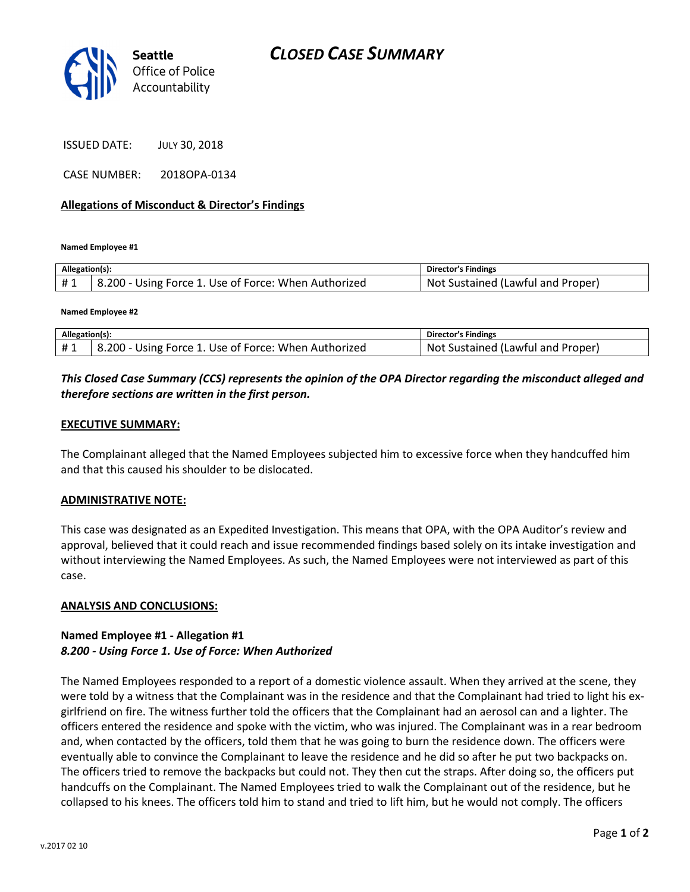

ISSUED DATE: JULY 30, 2018

CASE NUMBER: 2018OPA-0134

#### Allegations of Misconduct & Director's Findings

Named Employee #1

| Allegation(s): |                                                      | Director's Findings                     |
|----------------|------------------------------------------------------|-----------------------------------------|
| #1             | B.200 - Using Force 1. Use of Force: When Authorized | .Not<br>. Sustained (Lawful and Proper) |

Named Employee #2

| Allegation(s): |                                                      | <b>Director's Findings</b>        |
|----------------|------------------------------------------------------|-----------------------------------|
|                | 8.200 - Using Force 1. Use of Force: When Authorized | Not Sustained (Lawful and Proper) |

## This Closed Case Summary (CCS) represents the opinion of the OPA Director regarding the misconduct alleged and therefore sections are written in the first person.

#### EXECUTIVE SUMMARY:

The Complainant alleged that the Named Employees subjected him to excessive force when they handcuffed him and that this caused his shoulder to be dislocated.

#### ADMINISTRATIVE NOTE:

This case was designated as an Expedited Investigation. This means that OPA, with the OPA Auditor's review and approval, believed that it could reach and issue recommended findings based solely on its intake investigation and without interviewing the Named Employees. As such, the Named Employees were not interviewed as part of this case.

#### ANALYSIS AND CONCLUSIONS:

### Named Employee #1 - Allegation #1 8.200 - Using Force 1. Use of Force: When Authorized

The Named Employees responded to a report of a domestic violence assault. When they arrived at the scene, they were told by a witness that the Complainant was in the residence and that the Complainant had tried to light his exgirlfriend on fire. The witness further told the officers that the Complainant had an aerosol can and a lighter. The officers entered the residence and spoke with the victim, who was injured. The Complainant was in a rear bedroom and, when contacted by the officers, told them that he was going to burn the residence down. The officers were eventually able to convince the Complainant to leave the residence and he did so after he put two backpacks on. The officers tried to remove the backpacks but could not. They then cut the straps. After doing so, the officers put handcuffs on the Complainant. The Named Employees tried to walk the Complainant out of the residence, but he collapsed to his knees. The officers told him to stand and tried to lift him, but he would not comply. The officers